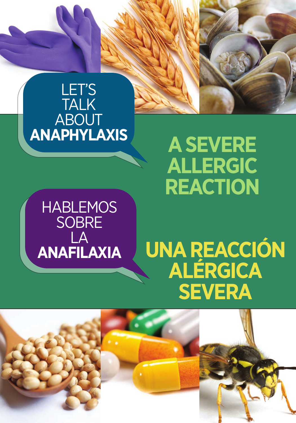

# **ANAPHYLAXIS A SEVERE ALLERGIC REACTION**

HABLEMOS **SOBRE** LA **ANAFILAXIA**

# **UNA REACCIÓN ALÉRGICA SEVERA**

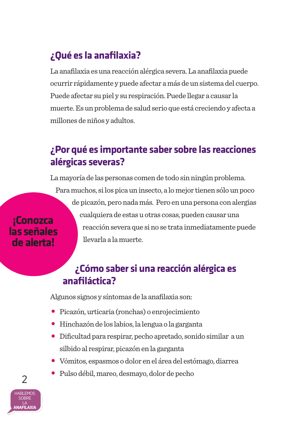## **¿Qué es la anafilaxia?**

La anafilaxia es una reacción alérgica severa. La anafilaxia puede ocurrir rápidamente y puede afectar a más de un sistema del cuerpo. Puede afectar su piel y su respiración. Puede llegar a causar la muerte. Es un problema de salud serio que está creciendo y afecta a millones de niños y adultos.

### **¿Por qué es importante saber sobre las reacciones alérgicas severas?**

La mayoría de las personas comen de todo sin ningún problema. Para muchos, si los pica un insecto, a lo mejor tienen sólo un poco de picazón, pero nada más. Pero en una persona con alergias cualquiera de estas u otras cosas, pueden causar una reacción severa que si no se trata inmediatamente puede llevarla a la muerte. **las señales** 

### **¿Cómo saber si una reacción alérgica es anafiláctica?**

Algunos signos y síntomas de la anafilaxia son:

- Picazón, urticaria (ronchas) o enrojecimiento
- Hinchazón de los labios, la lengua o la garganta
- Dificultad para respirar, pecho apretado, sonido similar a un silbido al respirar, picazón en la garganta
- Vómitos, espasmos o dolor en el área del estómago, diarrea
- Pulso débil, mareo, desmayo, dolor de pecho



2

**¡Conozca** 

**de alerta!**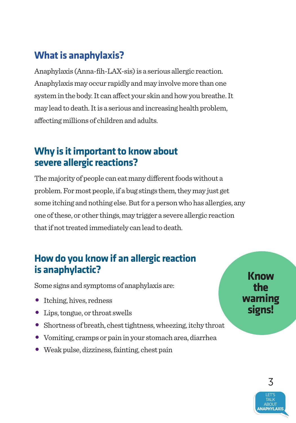## **What is anaphylaxis?**

Anaphylaxis (Anna-fih-LAX-sis) is a serious allergic reaction. Anaphylaxis may occur rapidly and may involve more than one system in the body. It can affect your skin and how you breathe. It may lead to death. It is a serious and increasing health problem, affecting millions of children and adults.

### **Why is it important to know about severe allergic reactions?**

The majority of people can eat many different foods without a problem. For most people, if a bug stings them, they may just get some itching and nothing else. But for a person who has allergies, any one of these, or other things, may trigger a severe allergic reaction that if not treated immediately can lead to death.

### **How do you know if an allergic reaction is anaphylactic?**

Some signs and symptoms of anaphylaxis are:

- Itching, hives, redness
- Lips, tongue, or throat swells
- Shortness of breath, chest tightness, wheezing, itchy throat
- Vomiting, cramps or pain in your stomach area, diarrhea
- Weak pulse, dizziness, fainting, chest pain

**Know the warning signs!**

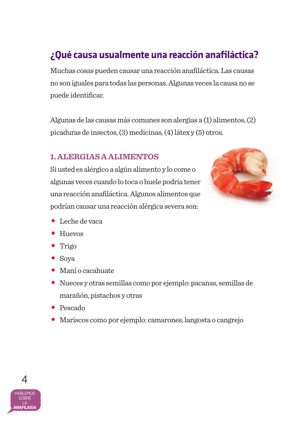## **¿Qué causa usualmente una reacción anafiláctica?**

Muchas cosas pueden causar una reacción anafiláctica. Las causas no son iguales para todas las personas. Algunas veces la causa no se puede identificar.

Algunas de las causas más comunes son alergias a (1) alimentos, (2) picaduras de insectos, (3) medicinas, (4) látex y (5) otros.

### **1. ALERGIAS A ALIMENTOS**

Si usted es alérgico a algún alimento y lo come o algunas veces cuando lo toca o huele podría tener una reacción anafiláctica. Algunos alimentos que podrían causar una reacción alérgica severa son:



- Leche de vaca
- Huevos
- Trigo
- Soya
- Maní o cacahuate
- Nueces y otras semillas como por ejemplo: pacanas, semillas de marañón, pistachos y otras
- Pescado
- Mariscos como por ejemplo: camarones, langosta o cangrejo

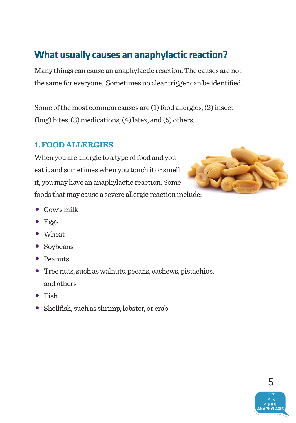## **What usually causes an anaphylactic reaction?**

Many things can cause an anaphylactic reaction. The causes are not the same for everyone. Sometimes no clear trigger can be identified.

Some of the most common causes are (1) food allergies, (2) insect (bug) bites, (3) medications, (4) latex, and (5) others.

### **1. FOOD ALLERGIES**

When you are allergic to a type of food and you eat it and sometimes when you touch it or smell it, you may have an anaphylactic reaction. Some foods that may cause a severe allergic reaction include:



- $\bullet$  Cow's milk
- $E$ ggs
- • Wheat
- Soybeans
- Peanuts
- Tree nuts, such as walnuts, pecans, cashews, pistachios, and others
- • Fish
- Shellfish, such as shrimp, lobster, or crab

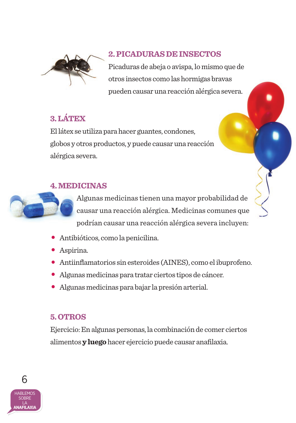

### **2. PICADURAS DE INSECTOS**

Picaduras de abeja o avispa, lo mismo que de otros insectos como las hormigas bravas pueden causar una reacción alérgica severa.

### **3. LÁTEX**

El látex se utiliza para hacer guantes, condones, globos y otros productos, y puede causar una reacción alérgica severa.

### **4. MEDICINAS**

Algunas medicinas tienen una mayor probabilidad de causar una reacción alérgica. Medicinas comunes que podrían causar una reacción alérgica severa incluyen:

- Antibióticos, como la penicilina.
- Aspirina.
- Antiinflamatorios sin esteroides (AINES), como el ibuprofeno.
- Algunas medicinas para tratar ciertos tipos de cáncer.
- Algunas medicinas para bajar la presión arterial.

### **5. OTROS**

Ejercicio: En algunas personas, la combinación de comer ciertos alimentos **y luego** hacer ejercicio puede causar anafilaxia.

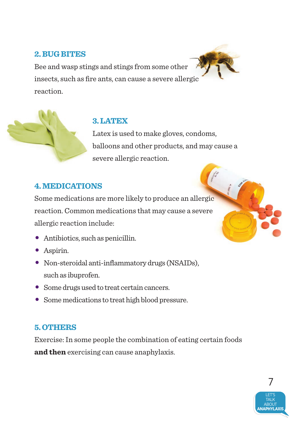### **2. BUG BITES**

Bee and wasp stings and stings from some other insects, such as fire ants, can cause a severe allergic reaction.



### **3. LATEX**

Latex is used to make gloves, condoms, balloons and other products, and may cause a severe allergic reaction.

### **4. MEDICATIONS**

Some medications are more likely to produce an allergic reaction. Common medications that may cause a severe allergic reaction include:

- Antibiotics, such as penicillin.
- • Aspirin.
- • Non-steroidal anti-inflammatory drugs (NSAIDs), such as ibuprofen.
- Some drugs used to treat certain cancers.
- Some medications to treat high blood pressure.

### **5. OTHERS**

Exercise: In some people the combination of eating certain foods **and then** exercising can cause anaphylaxis.

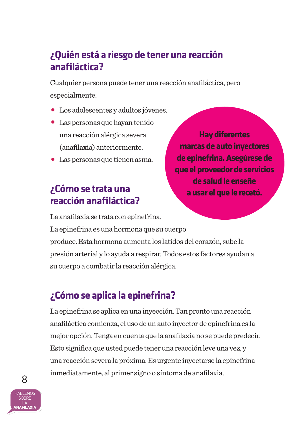## **¿Quién está a riesgo de tener una reacción anafiláctica?**

Cualquier persona puede tener una reacción anafiláctica, pero especialmente:

- Los adolescentes y adultos jóvenes.
- Las personas que hayan tenido una reacción alérgica severa (anafilaxia) anteriormente.
- Las personas que tienen asma.

## **¿Cómo se trata una reacción anafiláctica?**

La anafilaxia se trata con epinefrina.

**Hay diferentes marcas de auto inyectores de epinefrina. Asegúrese de que el proveedor de servicios de salud le enseñe a usar el que le recetó.**

La epinefrina es una hormona que su cuerpo produce. Esta hormona aumenta los latidos del corazón, sube la presión arterial y lo ayuda a respirar. Todos estos factores ayudan a su cuerpo a combatir la reacción alérgica.

## **¿Cómo se aplica la epinefrina?**

La epinefrina se aplica en una inyección. Tan pronto una reacción anafiláctica comienza, el uso de un auto inyector de epinefrina es la mejor opción. Tenga en cuenta que la anafilaxia no se puede predecir. Esto significa que usted puede tener una reacción leve una vez, y una reacción severa la próxima. Es urgente inyectarse la epinefrina inmediatamente, al primer signo o síntoma de anafilaxia.



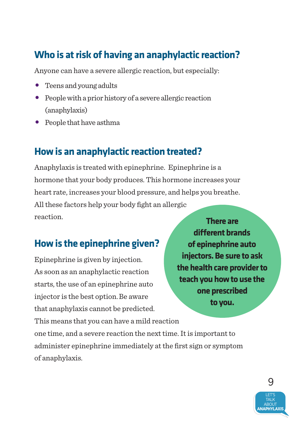### **Who is at risk of having an anaphylactic reaction?**

Anyone can have a severe allergic reaction, but especially:

- Teens and young adults
- People with a prior history of a severe allergic reaction (anaphylaxis)
- People that have asthma

### **How is an anaphylactic reaction treated?**

Anaphylaxis is treated with epinephrine. Epinephrine is a hormone that your body produces. This hormone increases your heart rate, increases your blood pressure, and helps you breathe. All these factors help your body fight an allergic reaction. **There are** 

### **How is the epinephrine given?**

Epinephrine is given by injection. As soon as an anaphylactic reaction starts, the use of an epinephrine auto injector is the best option.Be aware that anaphylaxis cannot be predicted.

**different brands of epinephrine auto injectors. Be sure to ask the health care provider to teach you how to use the one prescribed to you.**

This means that you can have a mild reaction one time, and a severe reaction the next time. It is important to administer epinephrine immediately at the first sign or symptom of anaphylaxis.

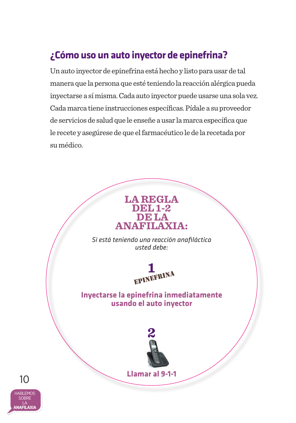## **¿Cómo uso un auto inyector de epinefrina?**

Un auto inyector de epinefrina está hecho y listo para usar de tal manera que la persona que esté teniendo la reacción alérgica pueda inyectarse a sí misma. Cada auto inyector puede usarse una sola vez. Cada marca tiene instrucciones específicas. Pídale a su proveedor de servicios de salud que le enseñe a usar la marca específica que le recete y asegúrese de que el farmacéutico le de la recetada por su médico.



10

LA **ANAFILAXIA**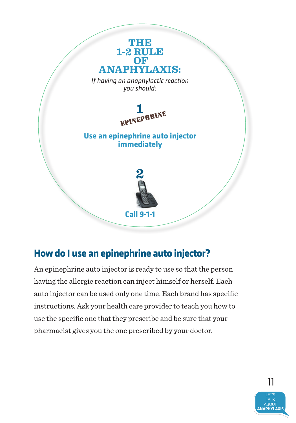

### **How do I use an epinephrine auto injector?**

An epinephrine auto injector is ready to use so that the person having the allergic reaction can inject himself or herself. Each auto injector can be used only one time. Each brand has specific instructions. Ask your health care provider to teach you how to use the specific one that they prescribe and be sure that your pharmacist gives you the one prescribed by your doctor.

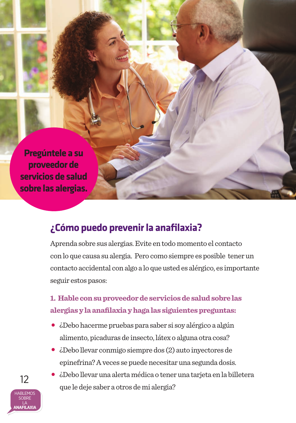**Pregúntele a su proveedor de servicios de salud sobre las alergias.**

### **¿Cómo puedo prevenir la anafilaxia?**

Aprenda sobre sus alergias. Evite en todo momento el contacto con lo que causa su alergia. Pero como siempre es posible tener un contacto accidental con algo a lo que usted es alérgico, es importante seguir estos pasos:

### **1. Hable con su proveedor de servicios de salud sobre las alergias y la anafilaxia y haga las siguientes preguntas:**

- ¿Debo hacerme pruebas para saber si soy alérgico a algún alimento, picaduras de insecto, látex o alguna otra cosa?
- ¿Debo llevar conmigo siempre dos (2) auto inyectores de epinefrina? A veces se puede necesitar una segunda dosis.
- ¿Debo llevar una alerta médica o tener una tarjeta en la billetera que le deje saber a otros de mi alergia?

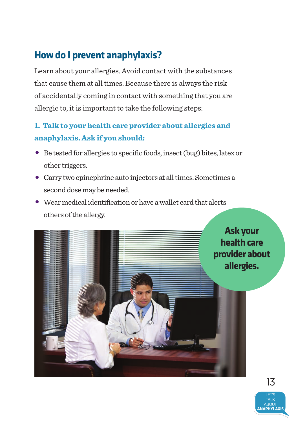## **How do I prevent anaphylaxis?**

Learn about your allergies. Avoid contact with the substances that cause them at all times. Because there is always the risk of accidentally coming in contact with something that you are allergic to, it is important to take the following steps:

### **1. Talk to your health care provider about allergies and anaphylaxis. Ask if you should:**

- • Be tested for allergies to specific foods, insect (bug) bites, latex or other triggers.
- • Carry two epinephrine auto injectors at all times. Sometimes a second dose may be needed.
- $\bullet$  Wear medical identification or have a wallet card that alerts others of the allergy.

**Ask your health care provider about allergies.**

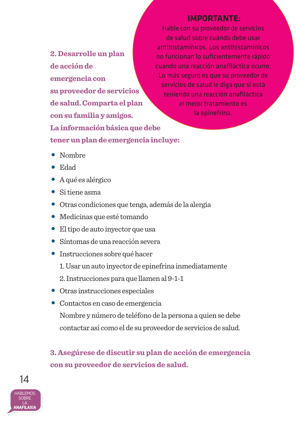**2. Desarrolle un plan de acción de emergencia con su proveedor de servicios de salud. Comparta el plan con su familia y amigos. La información básica que debe tener un plan de emergencia incluye:** 

### **IMPORTANTE:**

Hable con su proveedor de servicios de salud sobre cuándo debe usar antihistamínicos. Los antihistamínicos no funcionan lo suficientemente rápido cuando una reacción anafiláctica ocurre. Lo más seguro es que su proveedor de servicios de salud le diga que si está teniendo una reacción anafiláctica el mejor tratamiento es la epinefrina.

- Nombre
- Edad
- A qué es alérgico
- Si tiene asma
- Otras condiciones que tenga, además de la alergia
- Medicinas que esté tomando
- El tipo de auto inyector que usa
- Síntomas de una reacción severa
- Instrucciones sobre qué hacer
	- 1. Usar un auto inyector de epinefrina inmediatamente
	- 2. Instrucciones para que llamen al 9-1-1
- Otras instrucciones especiales
- Contactos en caso de emergencia Nombre y número de teléfono de la persona a quien se debe contactar así como el de su proveedor de servicios de salud.

**3. Asegúrese de discutir su plan de acción de emergencia con su proveedor de servicios de salud.**

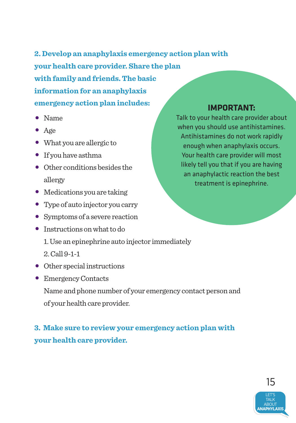**2. Develop an anaphylaxis emergency action plan with your health care provider. Share the plan with family and friends. The basic information for an anaphylaxis emergency action plan includes:**

- • Name
- Age
- • What you are allergic to
- If you have asthma
- Other conditions besides the allergy
- Medications you are taking
- Type of auto injector you carry
- Symptoms of a severe reaction
- Instructions on what to do
	- 1. Use an epinephrine auto injector immediately
	- 2. Call 9-1-1
- Other special instructions
- Emergency Contacts

Name and phone number of your emergency contact person and of your health care provider.

### **3. Make sure to review your emergency action plan with your health care provider.**

### **IMPORTANT:**

Talk to your health care provider about when you should use antihistamines. Antihistamines do not work rapidly enough when anaphylaxis occurs. Your health care provider will most likely tell you that if you are having an anaphylactic reaction the best treatment is epinephrine.

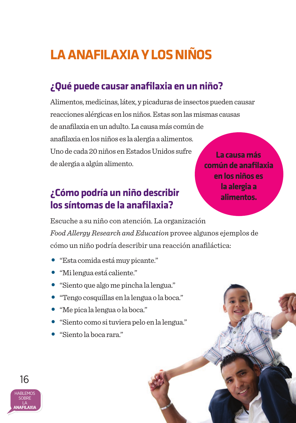## **LA ANAFILAXIA Y LOS NIÑOS**

## **¿Qué puede causar anafilaxia en un niño?**

Alimentos, medicinas, látex, y picaduras de insectos pueden causar reacciones alérgicas en los niños. Estas son las mismas causas de anafilaxia en un adulto. La causa más común de anafilaxia en los niños es la alergia a alimentos. Uno de cada 20 niños en Estados Unidos sufre de alergia a algún alimento.

### **¿Cómo podría un niño describir los síntomas de la anafilaxia?**

**La causa más común de anafilaxia en los niños es la alergia a alimentos.**

Escuche a su niño con atención. La organización *Food Allergy Research and Education* provee algunos ejemplos de cómo un niño podría describir una reacción anafiláctica:

- "Esta comida está muy picante."
- "Mi lengua está caliente."
- "Siento que algo me pincha la lengua."
- "Tengo cosquillas en la lengua o la boca."
- "Me pica la lengua o la boca."
- "Siento como si tuviera pelo en la lengua."
- "Siento la boca rara."

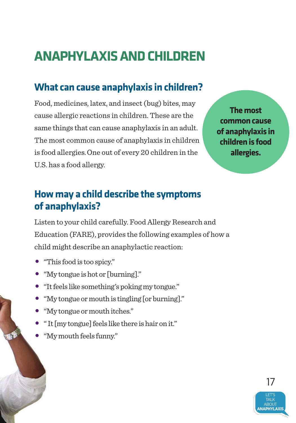## **ANAPHYLAXIS AND CHILDREN**

## **What can cause anaphylaxis in children?**

Food, medicines, latex, and insect (bug) bites, may cause allergic reactions in children. These are the same things that can cause anaphylaxis in an adult. The most common cause of anaphylaxis in children is food allergies.One out of every 20 children in the U.S. has a food allergy.

**The most common cause of anaphylaxis in children is food allergies.** 

## **How may a child describe the symptoms of anaphylaxis?**

Listen to your child carefully. Food Allergy Research and Education (FARE), provides the following examples of how a child might describe an anaphylactic reaction:

- • "This food is too spicy."
- • "My tongue is hot or [burning]."
- • "It feels like something's poking my tongue."
- • "My tongue or mouth is tingling [or burning]."
- • "My tongue or mouth itches."
- • " It [my tongue] feels like there is hair on it."
- • "My mouth feels funny."

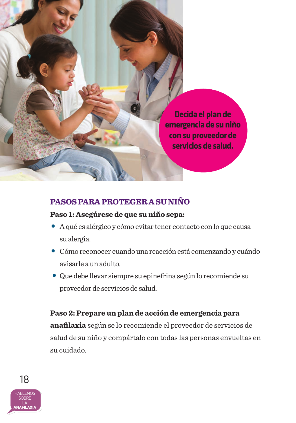**Decida el plan de emergencia de su niño con su proveedor de servicios de salud.** 

### **PASOS PARA PROTEGER A SU NIÑO**

### **Paso 1: Asegúrese de que su niño sepa:**

- A qué es alérgico y cómo evitar tener contacto con lo que causa su alergia.
- Cómo reconocer cuando una reacción está comenzando y cuándo avisarle a un adulto.
- Que debe llevar siempre su epinefrina según lo recomiende su proveedor de servicios de salud.

### **Paso 2: Prepare un plan de acción de emergencia para**

**anafilaxia** según se lo recomiende el proveedor de servicios de salud de su niño y compártalo con todas las personas envueltas en su cuidado.

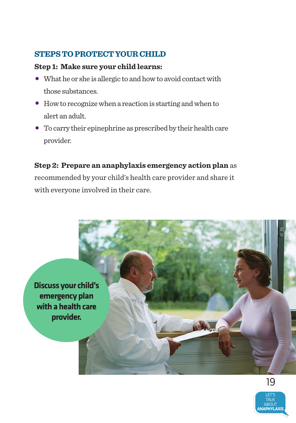### **STEPS TO PROTECT YOUR CHILD**

### **Step 1: Make sure your child learns:**

- What he or she is allergic to and how to avoid contact with those substances.
- How to recognize when a reaction is starting and when to alert an adult.
- • To carry their epinephrine as prescribed by their health care provider.

**Step 2: Prepare an anaphylaxis emergency action plan** as recommended by your child's health care provider and share it with everyone involved in their care.



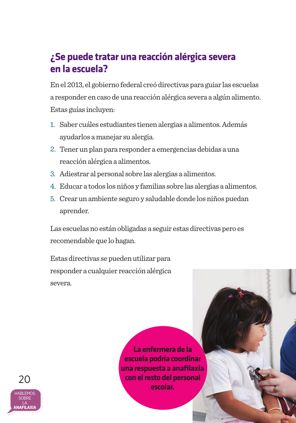### **¿Se puede tratar una reacción alérgica severa en la escuela?**

En el 2013, el gobierno federal creó directivas para guiar las escuelas a responder en caso de una reacción alérgica severa a algún alimento. Estas guías incluyen:

- 1. Saber cuáles estudiantes tienen alergias a alimentos. Además ayudarlos a manejar su alergia.
- 2. Tener un plan para responder a emergencias debidas a una reacción alérgica a alimentos.
- 3. Adiestrar al personal sobre las alergias a alimentos.
- 4. Educar a todos los niños y familias sobre las alergias a alimentos.
- 5. Crear un ambiente seguro y saludable donde los niños puedan aprender.

Las escuelas no están obligadas a seguir estas directivas pero es recomendable que lo hagan.

Estas directivas se pueden utilizar para responder a cualquier reacción alérgica severa.

> **La enfermera de la escuela podría coordinar una respuesta a anafilaxia con el resto del personal escolar.**

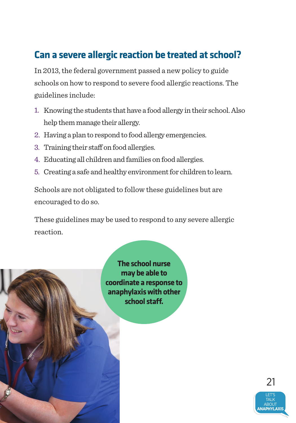### **Can a severe allergic reaction be treated at school?**

In 2013, the federal government passed a new policy to guide schools on how to respond to severe food allergic reactions. The guidelines include:

- 1. Knowing the students that have a food allergy in their school. Also help them manage their allergy.
- 2. Having a plan to respond to food allergy emergencies.
- 3. Training their staff on food allergies.
- 4. Educating all children and families on food allergies.
- 5. Creating a safe and healthy environment for children to learn.

Schools are not obligated to follow these guidelines but are encouraged to do so.

These guidelines may be used to respond to any severe allergic reaction.



**The school nurse may be able to coordinate a response to anaphylaxis with other school staff.** 

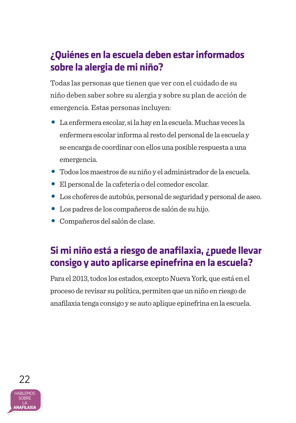## **¿Quiénes en la escuela deben estar informados sobre la alergia de mi niño?**

Todas las personas que tienen que ver con el cuidado de su niño deben saber sobre su alergia y sobre su plan de acción de emergencia. Estas personas incluyen:

- La enfermera escolar, si la hay en la escuela. Muchas veces la enfermera escolar informa al resto del personal de la escuela y se encarga de coordinar con ellos una posible respuesta a una emergencia.
- Todos los maestros de su niño y el administrador de la escuela.
- El personal de la cafetería o del comedor escolar.
- Los choferes de autobús, personal de seguridad y personal de aseo.
- Los padres de los compañeros de salón de su hijo.
- Compañeros del salón de clase.

## **Si mi niño está a riesgo de anafilaxia, ¿puede llevar consigo y auto aplicarse epinefrina en la escuela?**

Para el 2013, todos los estados, excepto Nueva York, que está en el proceso de revisar su política, permiten que un niño en riesgo de anafilaxia tenga consigo y se auto aplique epinefrina en la escuela.

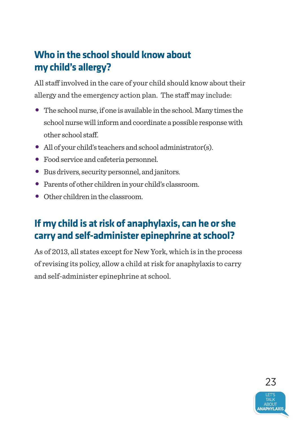## **Who in the school should know about my child's allergy?**

All staff involved in the care of your child should know about their allergy and the emergency action plan. The staff may include:

- $\bullet$  The school nurse, if one is available in the school. Many times the school nurse will inform and coordinate a possible response with other school staff.
- All of your child's teachers and school administrator(s).
- Food service and cafeteria personnel.
- Bus drivers, security personnel, and janitors.
- Parents of other children in your child's classroom.
- Other children in the classroom.

## **If my child is at risk of anaphylaxis, can he or she carry and self-administer epinephrine at school?**

As of 2013, all states except for New York, which is in the process of revising its policy, allow a child at risk for anaphylaxis to carry and self-administer epinephrine at school.

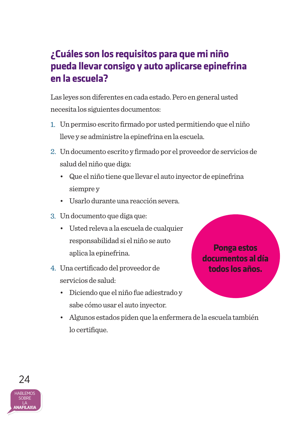## **¿Cuáles son los requisitos para que mi niño pueda llevar consigo y auto aplicarse epinefrina en la escuela?**

Las leyes son diferentes en cada estado. Pero en general usted necesita los siguientes documentos:

- 1. Un permiso escrito firmado por usted permitiendo que el niño lleve y se administre la epinefrina en la escuela.
- 2. Un documento escrito y firmado por el proveedor de servicios de salud del niño que diga:
	- Que el niño tiene que llevar el auto inyector de epinefrina siempre y
	- Usarlo durante una reacción severa.
- 3. Un documento que diga que:
	- Usted releva a la escuela de cualquier responsabilidad si el niño se auto aplica la epinefrina.
- 4. Una certificado del proveedor de servicios de salud:
	- Diciendo que el niño fue adiestrado y sabe cómo usar el auto inyector.
	- Algunos estados piden que la enfermera de la escuela también lo certifique.

**Ponga estos documentos al día todos los años.**

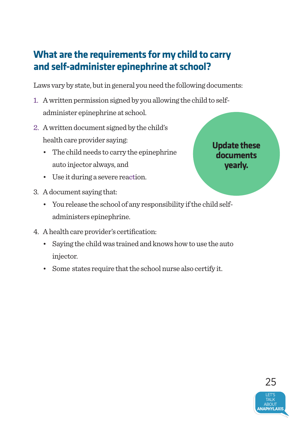## **What are the requirements for my child to carry and self-administer epinephrine at school?**

Laws vary by state, but in general you need the following documents:

- 1. A written permission signed by you allowing the child to selfadminister epinephrine at school.
- 2. A written document signed by the child's 2.health care provider saying:
	- The child needs to carry the epinephrine auto injector always, and
	- Use it during a severe reaction.
- 3. A document saying that:
	- You release the school of any responsibility if the child selfadministers epinephrine.
- 4. A health care provider's certification:
	- Saying the child was trained and knows how to use the auto injector.
	- • Some states require that the school nurse also certify it.

**Update these documents yearly.** 

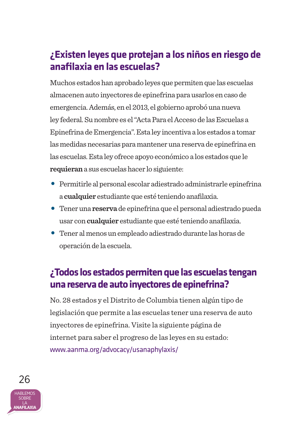## **¿Existen leyes que protejan a los niños en riesgo de anafilaxia en las escuelas?**

Muchos estados han aprobado leyes que permiten que las escuelas almacenen auto inyectores de epinefrina para usarlos en caso de emergencia. Además, en el 2013, el gobierno aprobó una nueva ley federal. Su nombre es el "Acta Para el Acceso de las Escuelas a Epinefrina de Emergencia". Esta ley incentiva a los estados a tomar las medidas necesarias para mantener una reserva de epinefrina en las escuelas. Esta ley ofrece apoyo económico a los estados que le **requieran** a sus escuelas hacer lo siguiente:

- Permitirle al personal escolar adiestrado administrarle epinefrina a **cualquier** estudiante que esté teniendo anafilaxia.
- Tener una **reserva** de epinefrina que el personal adiestrado pueda usar con **cualquier** estudiante que esté teniendo anafilaxia.
- Tener al menos un empleado adiestrado durante las horas de operación de la escuela.

### **¿Todos los estados permiten que las escuelas tengan una reserva de auto inyectores de epinefrina?**

No. 28 estados y el Distrito de Columbia tienen algún tipo de legislación que permite a las escuelas tener una reserva de auto inyectores de epinefrina. Visite la siguiente página de internet para saber el progreso de las leyes en su estado: www.aanma.org/advocacy/usanaphylaxis/

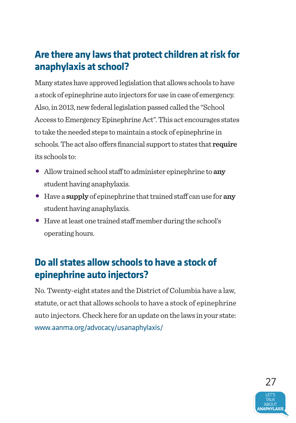## **Are there any laws that protect children at risk for anaphylaxis at school?**

Many states have approved legislation that allows schools to have a stock of epinephrine auto injectors for use in case of emergency. Also, in 2013, new federal legislation passed called the "School Access to Emergency Epinephrine Act". This act encourages states to take the needed steps to maintain a stock of epinephrine in schools. The act also offers financial support to states that **require** its schools to:

- Allow trained school staff to administer epinephrine to **any** student having anaphylaxis.
- Have a **supply** of epinephrine that trained staff can use for **any** student having anaphylaxis.
- Have at least one trained staff member during the school's operating hours.

## **Do all states allow schools to have a stock of epinephrine auto injectors?**

No. Twenty-eight states and the District of Columbia have a law, statute, or act that allows schools to have a stock of epinephrine auto injectors. Check here for an update on the laws in your state: www.aanma.org/advocacy/usanaphylaxis/

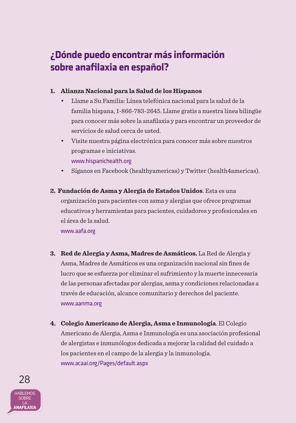## **¿Dónde puedo encontrar más información sobre anafilaxia en español?**

#### **1. Alianza Nacional para la Salud de los Hispanos**

- Llame a Su Familia: Línea telefónica nacional para la salud de la familia hispana, 1-866-783-2645. Llame gratis a nuestra línea bilingüe para conocer más sobre la anafilaxia y para encontrar un proveedor de servicios de salud cerca de usted.
- Visite nuestra página electrónica para conocer más sobre nuestros programas e iniciativas. www.hispanichealth.org
- Síganos en Facebook (healthyamericas) y Twitter (health4americas).

### **2. Fundación de Asma y Alergia de Estados Unidos**. Esta es una organización para pacientes con asma y alergias que ofrece programas educativos y herramientas para pacientes, cuidadores y profesionales en el área de la salud.

www.aafa.org

- **3. Red de Alergia y Asma, Madres de Asmáticos.** La Red de Alergia y Asma, Madres de Asmáticos es una organización nacional sin fines de lucro que se esfuerza por eliminar el sufrimiento y la muerte innecesaria de las personas afectadas por alergias, asma y condiciones relacionadas a través de educación, alcance comunitario y derechos del paciente. www.aanma.org
- **4. Colegio Americano de Alergia, Asma e Inmunología**. El Colegio Americano de Alergia, Asma e Inmunología es una asociación profesional de alergistas e inmunólogos dedicada a mejorar la calidad del cuidado a los pacientes en el campo de la alergia y la inmunología. www.acaai.org/Pages/default.aspx

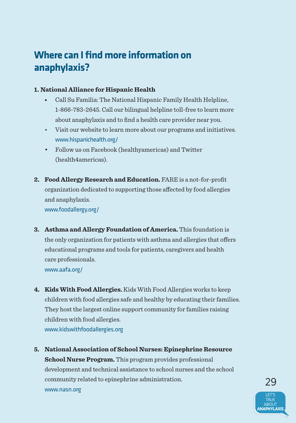### **Where can I find more information on anaphylaxis?**

#### **1. National Alliance for Hispanic Health**

- Call Su Familia: The National Hispanic Family Health Helpline, 1-866-783-2645. Call our bilingual helpline toll-free to learn more about anaphylaxis and to find a health care provider near you.
- Visit our website to learn more about our programs and initiatives. www.hispanichealth.org/
- Follow us on Facebook (healthyamericas) and Twitter (health4americas).
- **2. Food Allergy Research and Education.** FARE is a not-for-profit organization dedicated to supporting those affected by food allergies and anaphylaxis. www.foodallergy.org/
- **3. Asthma and Allergy Foundation of America.** This foundation is the only organization for patients with asthma and allergies that offers educational programs and tools for patients, caregivers and health care professionals. www.aafa.org/
- **4. Kids With Food Allergies.** Kids With Food Allergies works to keep children with food allergies safe and healthy by educating their families. They host the largest online support community for families raising children with food allergies. www.kidswithfoodallergies.org
- **5. National Association of School Nurses: Epinephrine Resource School Nurse Program.** This program provides professional development and technical assistance to school nurses and the school community related to epinephrine administration. www.nasn.org

LET'S **TALK** ABOUT **NAPHYLAXIS** 29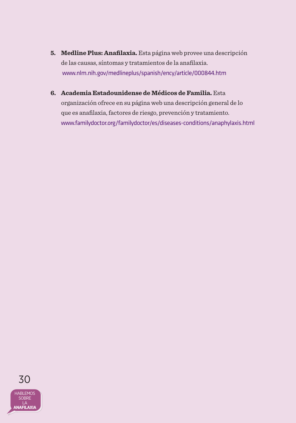- **5. Medline Plus: Anafilaxia.** Esta página web provee una descripción de las causas, síntomas y tratamientos de la anafilaxia. www.nlm.nih.gov/medlineplus/spanish/ency/article/000844.htm
- **6. Academia Estadounidense de Médicos de Familia.** Esta organización ofrece en su página web una descripción general de lo que es anafilaxia, factores de riesgo, prevención y tratamiento. www.familydoctor.org/familydoctor/es/diseases-conditions/anaphylaxis.html

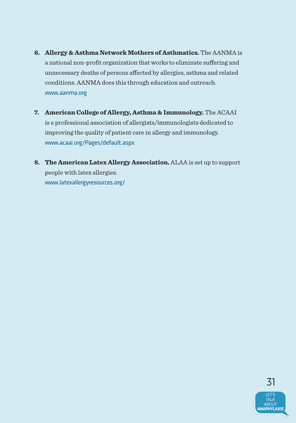- **6. Allergy & Asthma Network Mothers of Asthmatics.** The AANMA is a national non-profit organization that works to eliminate suffering and unnecessary deaths of persons affected by allergies, asthma and related conditions. AANMA does this through education and outreach. www.aanma.org
- **7. American College of Allergy, Asthma & Immunology.** The ACAAI is a professional association of allergists/immunologists dedicated to improving the quality of patient care in allergy and immunology. www.acaai.org/Pages/default.aspx
- **8. The American Latex Allergy Association.** ALAA is set up to support people with latex allergies. www.latexallergyresources.org/